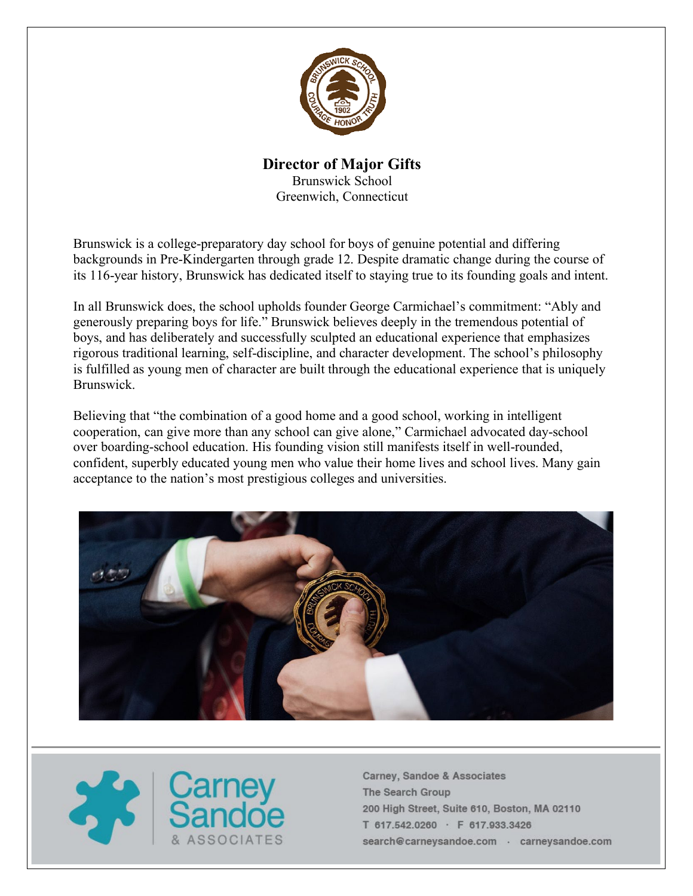

### **Director of Major Gifts** Brunswick School Greenwich, Connecticut

Brunswick is a college-preparatory day school for boys of genuine potential and differing backgrounds in Pre-Kindergarten through grade 12. Despite dramatic change during the course of its 116-year history, Brunswick has dedicated itself to staying true to its founding goals and intent.

In all Brunswick does, the school upholds founder George Carmichael's commitment: "Ably and generously preparing boys for life." Brunswick believes deeply in the tremendous potential of boys, and has deliberately and successfully sculpted an educational experience that emphasizes rigorous traditional learning, self-discipline, and character development. The school's philosophy is fulfilled as young men of character are built through the educational experience that is uniquely Brunswick.

Believing that "the combination of a good home and a good school, working in intelligent cooperation, can give more than any school can give alone," Carmichael advocated day-school over boarding-school education. His founding vision still manifests itself in well-rounded, confident, superbly educated young men who value their home lives and school lives. Many gain acceptance to the nation's most prestigious colleges and universities.



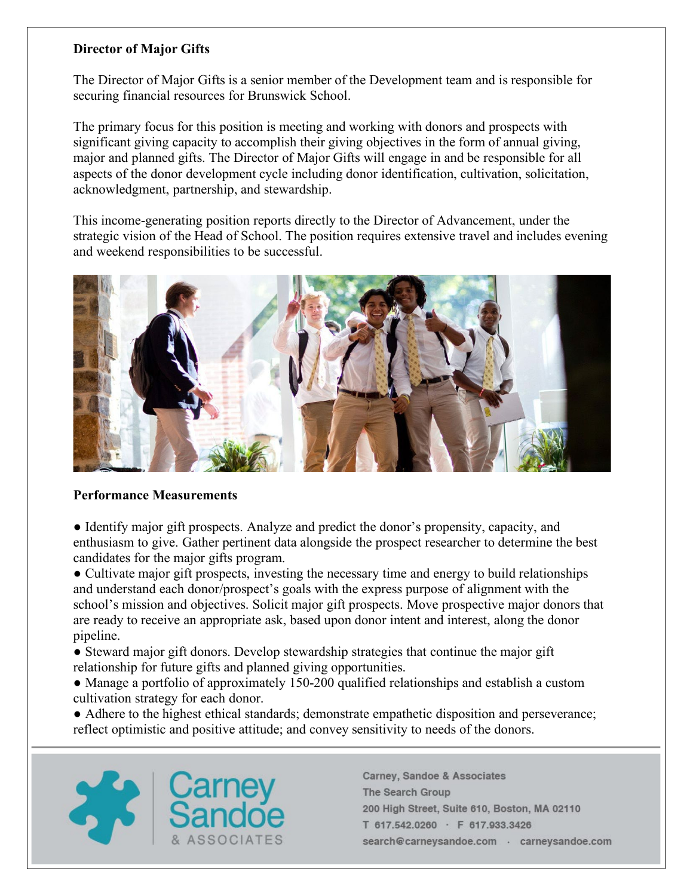### **Director of Major Gifts**

The Director of Major Gifts is a senior member of the Development team and is responsible for securing financial resources for Brunswick School.

The primary focus for this position is meeting and working with donors and prospects with significant giving capacity to accomplish their giving objectives in the form of annual giving, major and planned gifts. The Director of Major Gifts will engage in and be responsible for all aspects of the donor development cycle including donor identification, cultivation, solicitation, acknowledgment, partnership, and stewardship.

This income-generating position reports directly to the Director of Advancement, under the strategic vision of the Head of School. The position requires extensive travel and includes evening and weekend responsibilities to be successful.



### **Performance Measurements**

● Identify major gift prospects. Analyze and predict the donor's propensity, capacity, and enthusiasm to give. Gather pertinent data alongside the prospect researcher to determine the best candidates for the major gifts program.

• Cultivate major gift prospects, investing the necessary time and energy to build relationships and understand each donor/prospect's goals with the express purpose of alignment with the school's mission and objectives. Solicit major gift prospects. Move prospective major donors that are ready to receive an appropriate ask, based upon donor intent and interest, along the donor pipeline.

- Steward major gift donors. Develop stewardship strategies that continue the major gift relationship for future gifts and planned giving opportunities.
- Manage a portfolio of approximately 150-200 qualified relationships and establish a custom cultivation strategy for each donor.
- Adhere to the highest ethical standards; demonstrate empathetic disposition and perseverance; reflect optimistic and positive attitude; and convey sensitivity to needs of the donors.

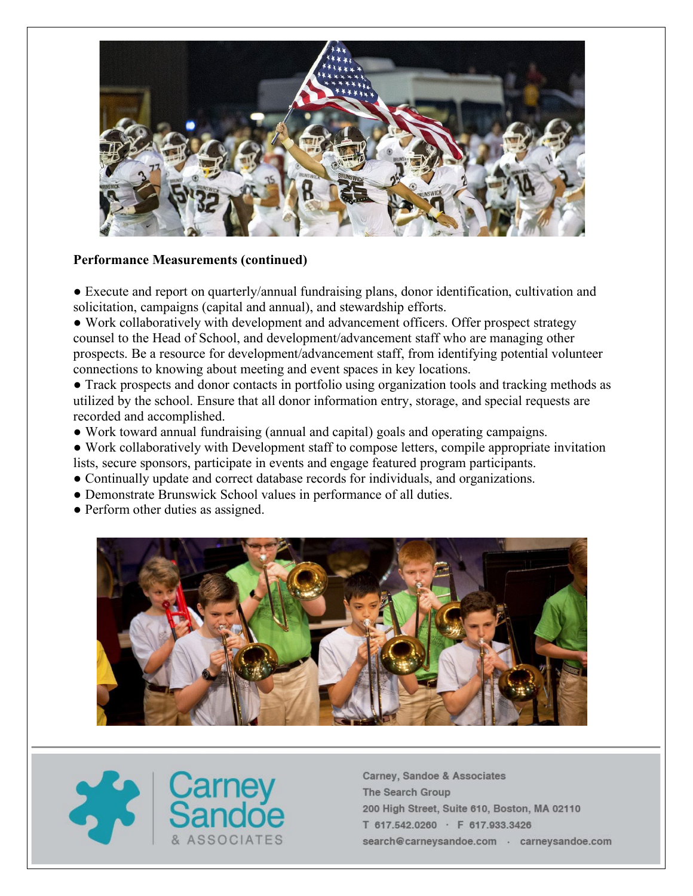

#### **Performance Measurements (continued)**

● Execute and report on quarterly/annual fundraising plans, donor identification, cultivation and solicitation, campaigns (capital and annual), and stewardship efforts.

● Work collaboratively with development and advancement officers. Offer prospect strategy counsel to the Head of School, and development/advancement staff who are managing other prospects. Be a resource for development/advancement staff, from identifying potential volunteer connections to knowing about meeting and event spaces in key locations.

● Track prospects and donor contacts in portfolio using organization tools and tracking methods as utilized by the school. Ensure that all donor information entry, storage, and special requests are recorded and accomplished.

● Work toward annual fundraising (annual and capital) goals and operating campaigns.

- Work collaboratively with Development staff to compose letters, compile appropriate invitation lists, secure sponsors, participate in events and engage featured program participants.
- Continually update and correct database records for individuals, and organizations.
- Demonstrate Brunswick School values in performance of all duties.
- Perform other duties as assigned.



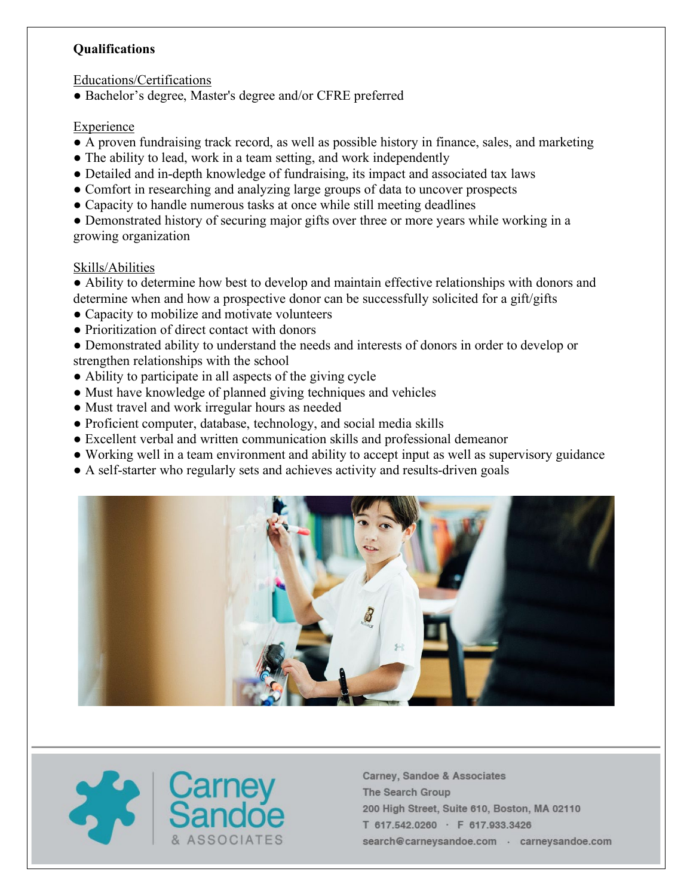### **Qualifications**

Educations/Certifications

● Bachelor's degree, Master's degree and/or CFRE preferred

# Experience

- A proven fundraising track record, as well as possible history in finance, sales, and marketing
- The ability to lead, work in a team setting, and work independently
- Detailed and in-depth knowledge of fundraising, its impact and associated tax laws
- Comfort in researching and analyzing large groups of data to uncover prospects
- Capacity to handle numerous tasks at once while still meeting deadlines
- Demonstrated history of securing major gifts over three or more years while working in a growing organization

# Skills/Abilities

● Ability to determine how best to develop and maintain effective relationships with donors and determine when and how a prospective donor can be successfully solicited for a gift/gifts

- Capacity to mobilize and motivate volunteers
- Prioritization of direct contact with donors
- Demonstrated ability to understand the needs and interests of donors in order to develop or strengthen relationships with the school
- Ability to participate in all aspects of the giving cycle
- Must have knowledge of planned giving techniques and vehicles
- Must travel and work irregular hours as needed
- Proficient computer, database, technology, and social media skills
- Excellent verbal and written communication skills and professional demeanor
- Working well in a team environment and ability to accept input as well as supervisory guidance
- A self-starter who regularly sets and achieves activity and results-driven goals



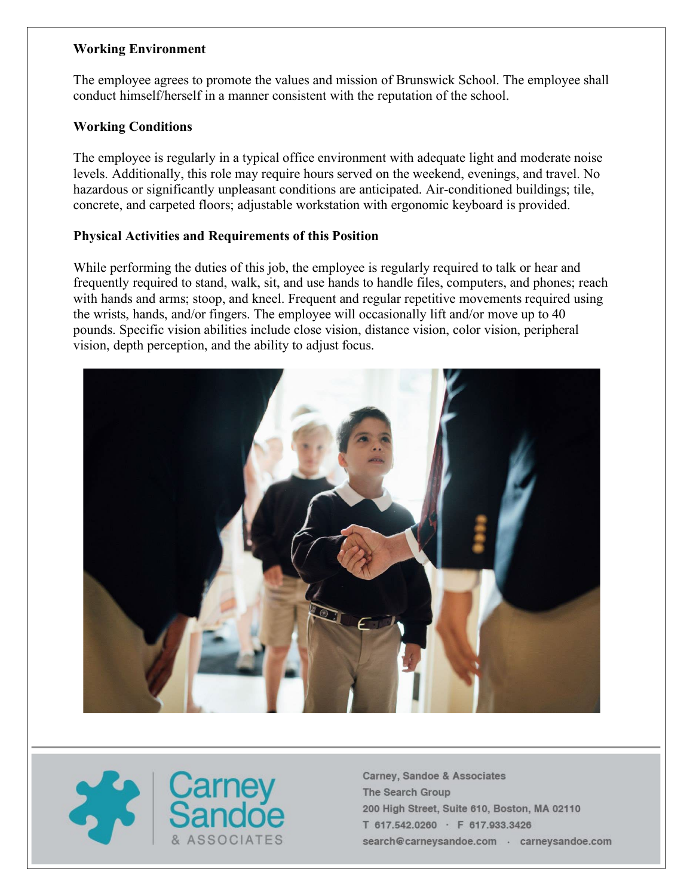### **Working Environment**

The employee agrees to promote the values and mission of Brunswick School. The employee shall conduct himself/herself in a manner consistent with the reputation of the school.

# **Working Conditions**

The employee is regularly in a typical office environment with adequate light and moderate noise levels. Additionally, this role may require hours served on the weekend, evenings, and travel. No hazardous or significantly unpleasant conditions are anticipated. Air-conditioned buildings; tile, concrete, and carpeted floors; adjustable workstation with ergonomic keyboard is provided.

# **Physical Activities and Requirements of this Position**

While performing the duties of this job, the employee is regularly required to talk or hear and frequently required to stand, walk, sit, and use hands to handle files, computers, and phones; reach with hands and arms; stoop, and kneel. Frequent and regular repetitive movements required using the wrists, hands, and/or fingers. The employee will occasionally lift and/or move up to 40 pounds. Specific vision abilities include close vision, distance vision, color vision, peripheral vision, depth perception, and the ability to adjust focus.